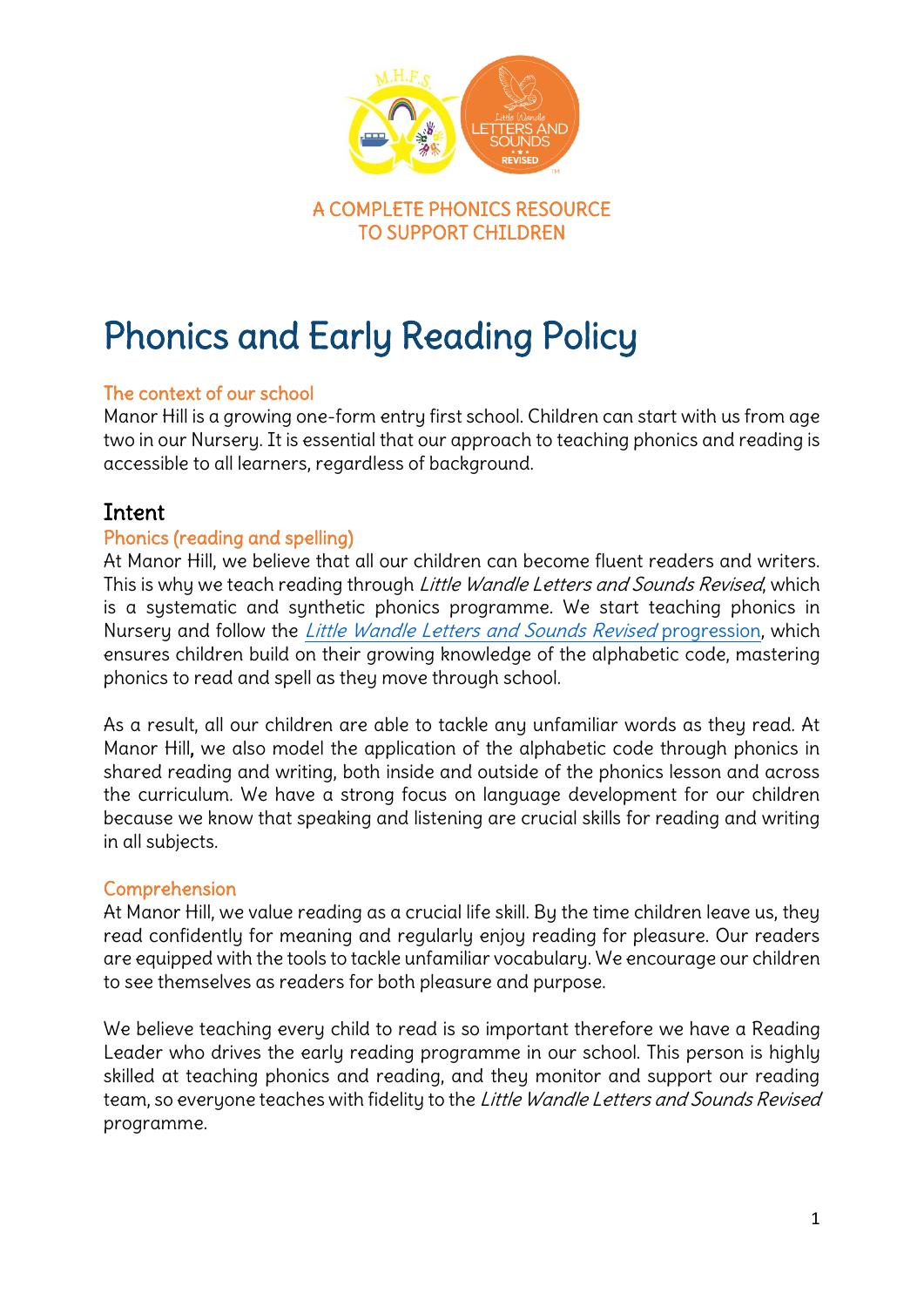

# Phonics and Early Reading Policy

#### The context of our school

Manor Hill is a growing one-form entry first school. Children can start with us from age two in our Nursery. It is essential that our approach to teaching phonics and reading is accessible to all learners, regardless of background.

## Intent

#### Phonics (reading and spelling)

At Manor Hill, we believe that all our children can become fluent readers and writers. This is why we teach reading through *Little Wandle Letters and Sounds Revised*, which is a systematic and synthetic phonics programme. We start teaching phonics in Nursery and follow the [Little Wandle Letters and Sounds Revised](https://www.littlewandlelettersandsounds.org.uk/wp-content/uploads/2021/06/Programme-Overview_Reception-and-Year-1.pdf) progression, which ensures children build on their growing knowledge of the alphabetic code, mastering phonics to read and spell as they move through school.

As a result, all our children are able to tackle any unfamiliar words as they read. At Manor Hill, we also model the application of the alphabetic code through phonics in shared reading and writing, both inside and outside of the phonics lesson and across the curriculum. We have a strong focus on language development for our children because we know that speaking and listening are crucial skills for reading and writing in all subjects.

#### Comprehension

At Manor Hill, we value reading as a crucial life skill. By the time children leave us, they read confidently for meaning and regularly enjoy reading for pleasure. Our readers are equipped with the tools to tackle unfamiliar vocabulary. We encourage our children to see themselves as readers for both pleasure and purpose.

We believe teaching every child to read is so important therefore we have a Reading Leader who drives the early reading programme in our school. This person is highly skilled at teaching phonics and reading, and they monitor and support our reading team, so everyone teaches with fidelity to the Little Wandle Letters and Sounds Revised programme.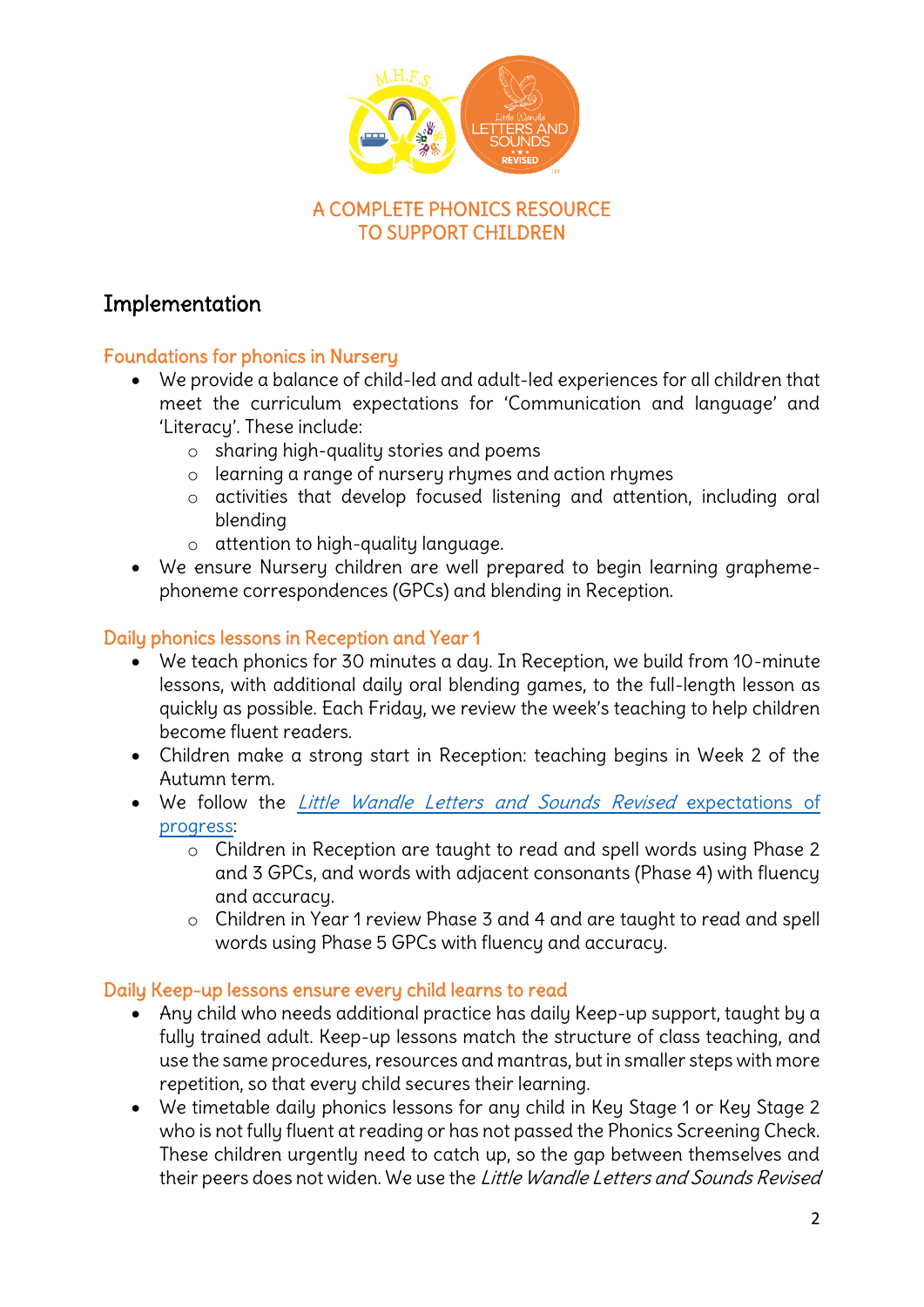

# TO SUPPORT CHILDREN

# Implementation

#### Foundations for phonics in Nursery

- We provide a balance of child-led and adult-led experiences for all children that meet the curriculum expectations for 'Communication and language' and 'Literacy'. These include:
	- o sharing high-quality stories and poems
	- o learning a range of nursery rhymes and action rhymes
	- o activities that develop focused listening and attention, including oral blending
	- o attention to high-quality language.
- We ensure Nursery children are well prepared to begin learning graphemephoneme correspondences (GPCs) and blending in Reception.

## Daily phonics lessons in Reception and Year 1

- We teach phonics for 30 minutes a day. In Reception, we build from 10-minute lessons, with additional daily oral blending games, to the full-length lesson as quickly as possible. Each Friday, we review the week's teaching to help children become fluent readers.
- Children make a strong start in Reception: teaching begins in Week 2 of the Autumn term.
- We follow the [Little Wandle Letters and Sounds Revised](https://www.littlewandlelettersandsounds.org.uk/wp-content/uploads/2021/06/Programme-Overview_Reception-and-Year-1.pdf) expectations of [progress:](https://www.littlewandlelettersandsounds.org.uk/wp-content/uploads/2021/06/Programme-Overview_Reception-and-Year-1.pdf)
	- o Children in Reception are taught to read and spell words using Phase 2 and 3 GPCs, and words with adjacent consonants (Phase 4) with fluency and accuracy.
	- o Children in Year 1 review Phase 3 and 4 and are taught to read and spell words using Phase 5 GPCs with fluency and accuracy.

#### Daily Keep-up lessons ensure every child learns to read

- Any child who needs additional practice has daily Keep-up support, taught by a fully trained adult. Keep-up lessons match the structure of class teaching, and use the same procedures, resources and mantras, but in smaller steps with more repetition, so that every child secures their learning.
- We timetable daily phonics lessons for any child in Key Stage 1 or Key Stage 2 who is not fully fluent at reading or has not passed the Phonics Screening Check. These children urgently need to catch up, so the gap between themselves and their peers does not widen. We use the Little Wandle Letters and Sounds Revised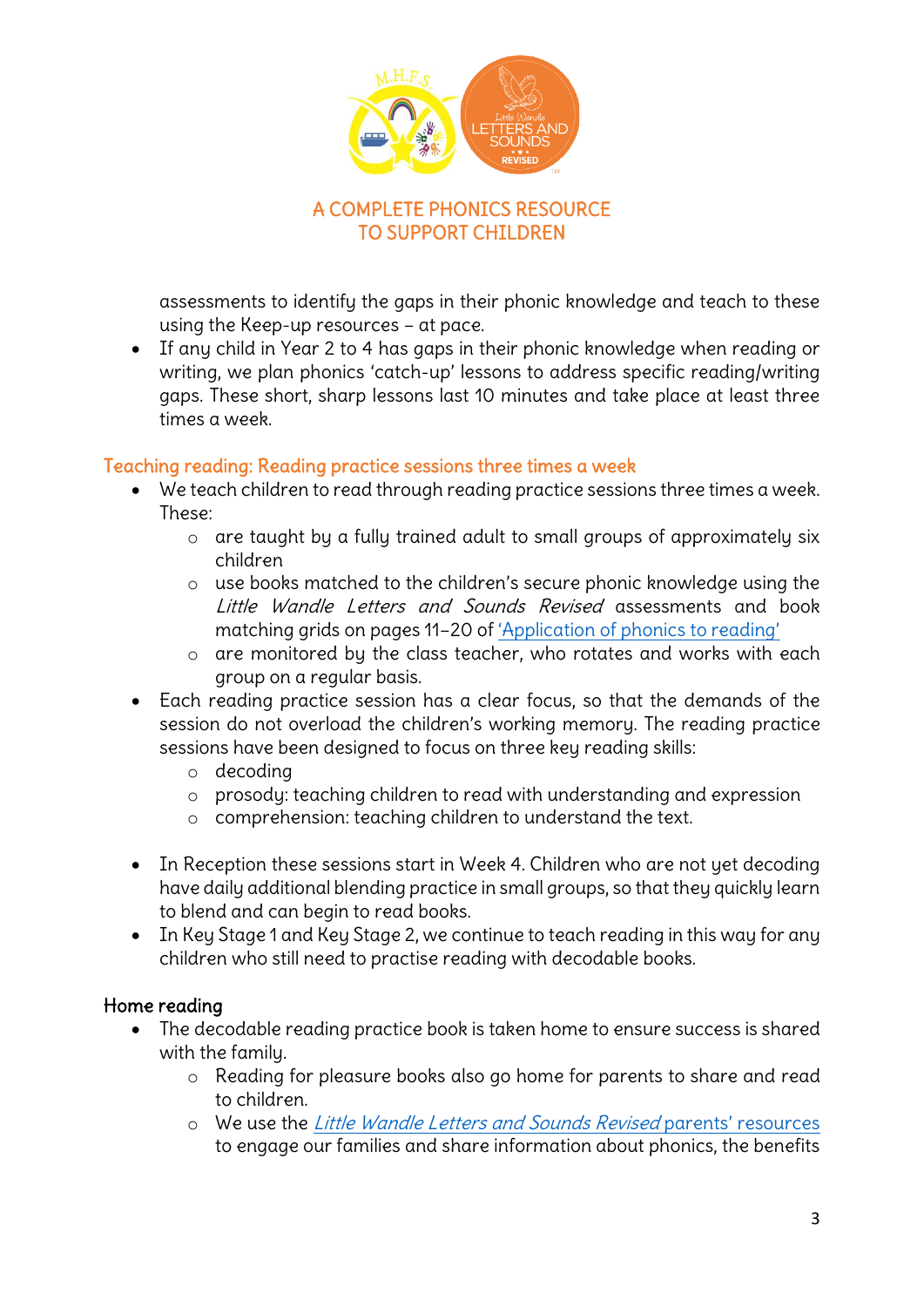

assessments to identify the gaps in their phonic knowledge and teach to these using the Keep-up resources – at pace.

 If any child in Year 2 to 4 has gaps in their phonic knowledge when reading or writing, we plan phonics 'catch-up' lessons to address specific reading/writing gaps. These short, sharp lessons last 10 minutes and take place at least three times a week.

#### Teaching reading: Reading practice sessions three times a week

- We teach children to read through reading practice sessions three times a week. These:
	- o are taught by a fully trained adult to small groups of approximately six children
	- o use books matched to the children's secure phonic knowledge using the Little Wandle Letters and Sounds Revised assessments and book matching grids on pages 11–20 of ['Application of phonics to reading'](https://www.littlewandlelettersandsounds.org.uk/wp-content/uploads/2021/03/LS-KEY-GUIDANCE-APPLICATION-OF-PHONICS-FINAL-1.pdf)
	- o are monitored by the class teacher, who rotates and works with each group on a regular basis.
- Each reading practice session has a clear focus, so that the demands of the session do not overload the children's working memory. The reading practice sessions have been designed to focus on three key reading skills:
	- o decoding
	- o prosody: teaching children to read with understanding and expression
	- o comprehension: teaching children to understand the text.
- In Reception these sessions start in Week 4. Children who are not yet decoding have daily additional blending practice in small groups, so that they quickly learn to blend and can begin to read books.
- In Key Stage 1 and Key Stage 2, we continue to teach reading in this way for any children who still need to practise reading with decodable books.

#### Home reading

- The decodable reading practice book is taken home to ensure success is shared with the family.
	- o Reading for pleasure books also go home for parents to share and read to children.
	- o We use the [Little Wandle Letters and Sounds Revised](https://www.littlewandlelettersandsounds.org.uk/resources/for-parents/) parents' resources to engage our families and share information about phonics, the benefits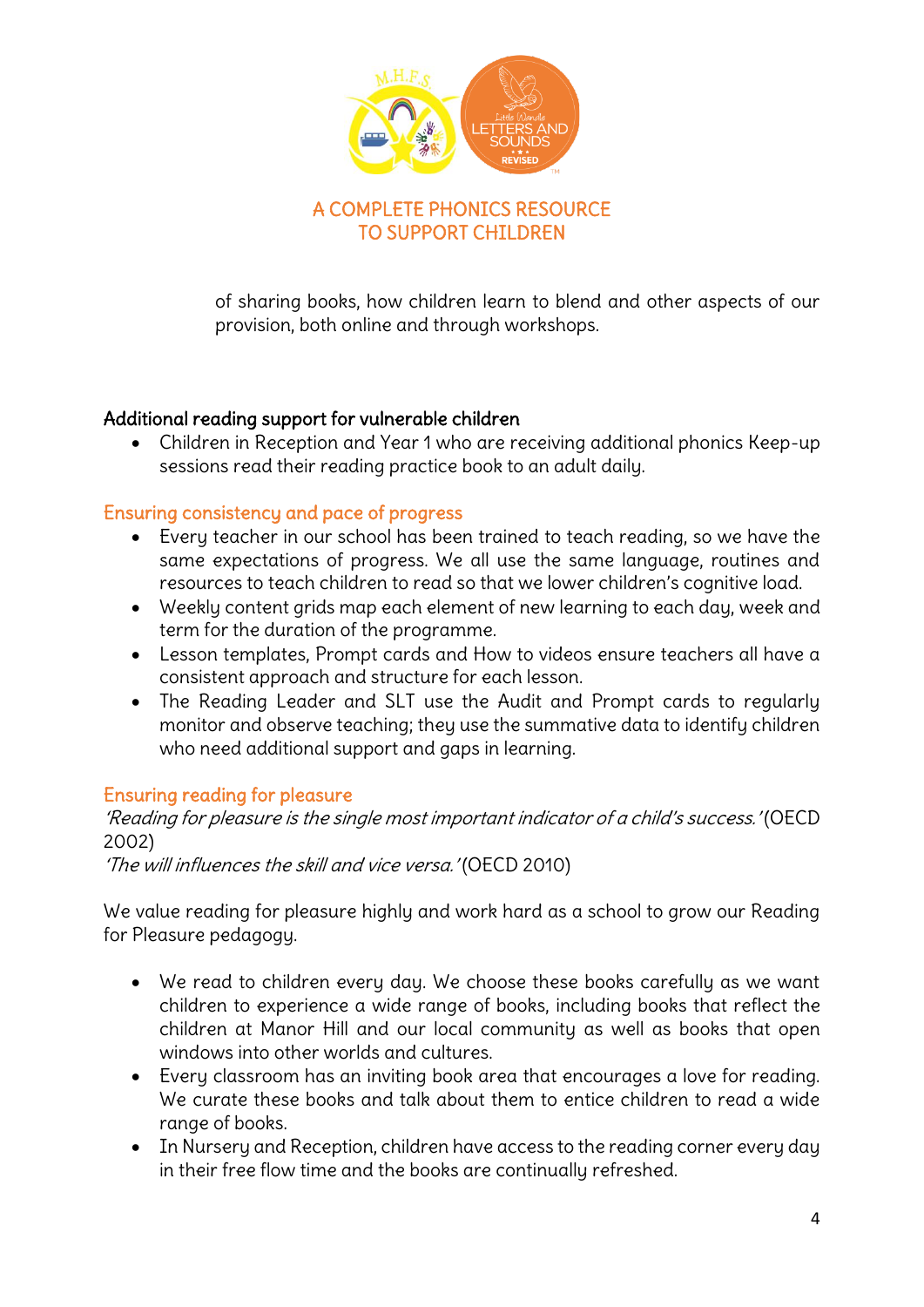

of sharing books, how children learn to blend and other aspects of our provision, both online and through workshops.

#### Additional reading support for vulnerable children

 Children in Reception and Year 1 who are receiving additional phonics Keep-up sessions read their reading practice book to an adult daily.

#### Ensuring consistency and pace of progress

- Every teacher in our school has been trained to teach reading, so we have the same expectations of progress. We all use the same language, routines and resources to teach children to read so that we lower children's cognitive load.
- Weekly content grids map each element of new learning to each day, week and term for the duration of the programme.
- Lesson templates, Prompt cards and How to videos ensure teachers all have a consistent approach and structure for each lesson.
- The Reading Leader and SLT use the Audit and Prompt cards to regularly monitor and observe teaching; they use the summative data to identify children who need additional support and gaps in learning.

#### Ensuring reading for pleasure

'Reading for pleasure is the single most important indicator of a child's success.' (OECD 2002)

'The will influences the skill and vice versa.' (OECD 2010)

We value reading for pleasure highly and work hard as a school to grow our Reading for Pleasure pedagogy.

- We read to children every day. We choose these books carefully as we want children to experience a wide range of books, including books that reflect the children at Manor Hill and our local community as well as books that open windows into other worlds and cultures.
- Every classroom has an inviting book area that encourages a love for reading. We curate these books and talk about them to entice children to read a wide range of books.
- In Nursery and Reception, children have access to the reading corner every day in their free flow time and the books are continually refreshed.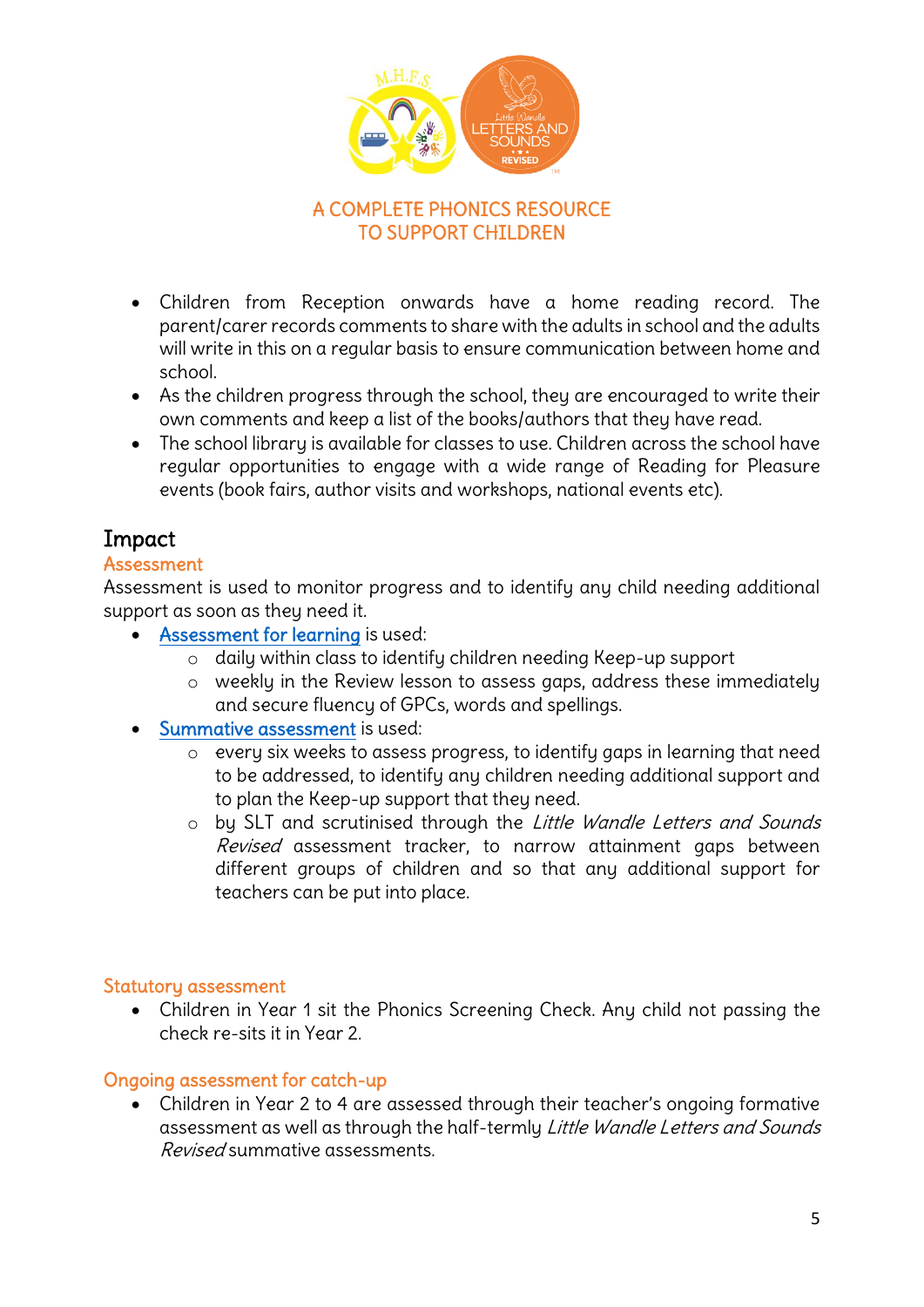

#### A COMPLETE PHONICS RESOURCE TO SUPPORT CHILDREN

- Children from Reception onwards have a home reading record. The parent/carer records comments to share with the adults in school and the adults will write in this on a regular basis to ensure communication between home and school.
- As the children progress through the school, they are encouraged to write their own comments and keep a list of the books/authors that they have read.
- The school library is available for classes to use. Children across the school have regular opportunities to engage with a wide range of Reading for Pleasure events (book fairs, author visits and workshops, national events etc).

# Impact

#### Assessment

Assessment is used to monitor progress and to identify any child needing additional support as soon as they need it.

- [Assessment for learning](https://www.littlewandlelettersandsounds.org.uk/wp-content/uploads/2021/03/LS-KEY-GUIDANCE-GETTING-STARTED-ASSESSMENT-FINAL.pdf) is used:
	- o daily within class to identify children needing Keep-up support
	- o weekly in the Review lesson to assess gaps, address these immediately and secure fluency of GPCs, words and spellings.
- [Summative assessment](https://www.littlewandlelettersandsounds.org.uk/resources/my-letters-and-sounds/assessment-tools/) is used:
	- o every six weeks to assess progress, to identify gaps in learning that need to be addressed, to identify any children needing additional support and to plan the Keep-up support that they need.
	- o by SLT and scrutinised through the Little Wandle Letters and Sounds Revised assessment tracker, to narrow attainment gaps between different groups of children and so that any additional support for teachers can be put into place.

#### Statutory assessment

 Children in Year 1 sit the Phonics Screening Check. Any child not passing the check re-sits it in Year 2.

## Ongoing assessment for catch-up

 Children in Year 2 to 4 are assessed through their teacher's ongoing formative assessment as well as through the half-termly Little Wandle Letters and Sounds Revised summative assessments.